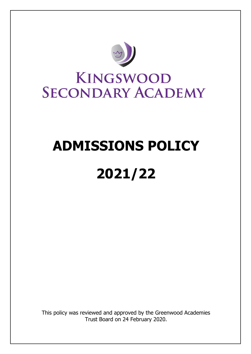

# **ADMISSIONS POLICY 2021/22**

This policy was reviewed and approved by the Greenwood Academies Trust Board on 24 February 2020.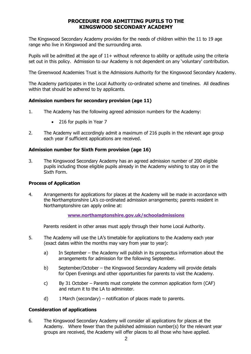# **PROCEDURE FOR ADMITTING PUPILS TO THE KINGSWOOD SECONDARY ACADEMY**

The Kingswood Secondary Academy provides for the needs of children within the 11 to 19 age range who live in Kingswood and the surrounding area.

Pupils will be admitted at the age of  $11+$  without reference to ability or aptitude using the criteria set out in this policy. Admission to our Academy is not dependent on any 'voluntary' contribution.

The Greenwood Academies Trust is the Admissions Authority for the Kingswood Secondary Academy.

The Academy participates in the Local Authority co-ordinated scheme and timelines. All deadlines within that should be adhered to by applicants.

# **Admission numbers for secondary provision (age 11)**

- 1. The Academy has the following agreed admission numbers for the Academy:
	- 216 for pupils in Year 7
- 2. The Academy will accordingly admit a maximum of 216 pupils in the relevant age group each year if sufficient applications are received.

# **Admission number for Sixth Form provision (age 16)**

3. The Kingswood Secondary Academy has an agreed admission number of 200 eligible pupils including those eligible pupils already in the Academy wishing to stay on in the Sixth Form.

#### **Process of Application**

4. Arrangements for applications for places at the Academy will be made in accordance with the Northamptonshire LA's co-ordinated admission arrangements; parents resident in Northamptonshire can apply online at:

# **[www.northamptonshire.gov.uk/schooladmissions](http://www.northamptonshire.gov.uk/schooladmissions)**

Parents resident in other areas must apply through their home Local Authority.

- 5. The Academy will use the LA's timetable for applications to the Academy each year (exact dates within the months may vary from year to year):
	- a) In September the Academy will publish in its prospectus information about the arrangements for admission for the following September.
	- b) September/October the Kingswood Secondary Academy will provide details for Open Evenings and other opportunities for parents to visit the Academy.
	- c) By 31 October Parents must complete the common application form (CAF) and return it to the LA to administer.
	- d) 1 March (secondary) notification of places made to parents.

# **Consideration of applications**

6. The Kingswood Secondary Academy will consider all applications for places at the Academy. Where fewer than the published admission number(s) for the relevant year groups are received, the Academy will offer places to all those who have applied.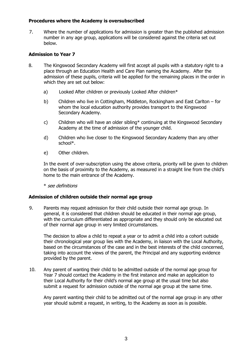#### **Procedures where the Academy is oversubscribed**

7. Where the number of applications for admission is greater than the published admission number in any age group, applications will be considered against the criteria set out below.

# **Admission to Year 7**

- 8. The Kingswood Secondary Academy will first accept all pupils with a statutory right to a place through an Education Health and Care Plan naming the Academy. After the admission of these pupils, criteria will be applied for the remaining places in the order in which they are set out below:
	- a) Looked After children or previously Looked After children\*
	- b) Children who live in Cottingham, Middleton, Rockingham and East Carlton for whom the local education authority provides transport to the Kingswood Secondary Academy.
	- c) Children who will have an older sibling\* continuing at the Kingswood Secondary Academy at the time of admission of the younger child.
	- d) Children who live closer to the Kingswood Secondary Academy than any other school\*.
	- e) Other children.

In the event of over-subscription using the above criteria, priority will be given to children on the basis of proximity to the Academy, as measured in a straight line from the child's home to the main entrance of the Academy.

\* see definitions

# **Admission of children outside their normal age group**

9. Parents may request admission for their child outside their normal age group. In general, it is considered that children should be educated in their normal age group, with the curriculum differentiated as appropriate and they should only be educated out of their normal age group in very limited circumstances.

The decision to allow a child to repeat a year or to admit a child into a cohort outside their chronological year group lies with the Academy, in liaison with the Local Authority, based on the circumstances of the case and in the best interests of the child concerned, taking into account the views of the parent, the Principal and any supporting evidence provided by the parent.

10. Any parent of wanting their child to be admitted outside of the normal age group for Year 7 should contact the Academy in the first instance and make an application to their Local Authority for their child's normal age group at the usual time but also submit a request for admission outside of the normal age group at the same time.

Any parent wanting their child to be admitted out of the normal age group in any other year should submit a request, in writing, to the Academy as soon as is possible.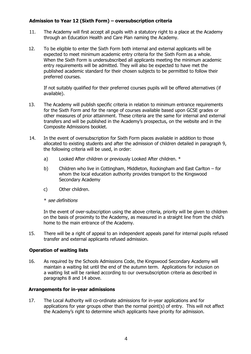# **Admission to Year 12 (Sixth Form) – oversubscription criteria**

- 11. The Academy will first accept all pupils with a statutory right to a place at the Academy through an Education Health and Care Plan naming the Academy.
- 12. To be eligible to enter the Sixth Form both internal and external applicants will be expected to meet minimum academic entry criteria for the Sixth Form as a whole. When the Sixth Form is undersubscribed all applicants meeting the minimum academic entry requirements will be admitted. They will also be expected to have met the published academic standard for their chosen subjects to be permitted to follow their preferred courses.

If not suitably qualified for their preferred courses pupils will be offered alternatives (if available).

- 13. The Academy will publish specific criteria in relation to minimum entrance requirements for the Sixth Form and for the range of courses available based upon GCSE grades or other measures of prior attainment. These criteria are the same for internal and external transfers and will be published in the Academy's prospectus, on the website and in the Composite Admissions booklet.
- 14. In the event of oversubscription for Sixth Form places available in addition to those allocated to existing students and after the admission of children detailed in paragraph 9, the following criteria will be used, in order:
	- a) Looked After children or previously Looked After children. \*
	- b) Children who live in Cottingham, Middleton, Rockingham and East Carlton for whom the local education authority provides transport to the Kingswood Secondary Academy
	- c) Other children.
	- \* see definitions

In the event of over-subscription using the above criteria, priority will be given to children on the basis of proximity to the Academy, as measured in a straight line from the child's home to the main entrance of the Academy.

15. There will be a right of appeal to an independent appeals panel for internal pupils refused transfer and external applicants refused admission.

# **Operation of waiting lists**

16. As required by the Schools Admissions Code, the Kingswood Secondary Academy will maintain a waiting list until the end of the autumn term. Applications for inclusion on a waiting list will be ranked according to our oversubscription criteria as described in paragraphs 8 and 14 above.

#### **Arrangements for in-year admissions**

17. The Local Authority will co-ordinate admissions for in-year applications and for applications for year groups other than the normal point(s) of entry. This will not affect the Academy's right to determine which applicants have priority for admission.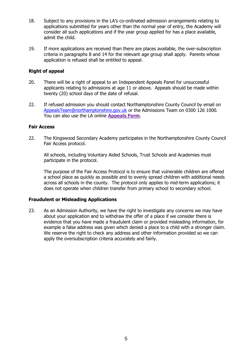- 18. Subject to any provisions in the LA's co-ordinated admission arrangements relating to applications submitted for years other than the normal year of entry, the Academy will consider all such applications and if the year group applied for has a place available, admit the child.
- 19. If more applications are received than there are places available, the over-subscription criteria in paragraphs 8 and 14 for the relevant age group shall apply. Parents whose application is refused shall be entitled to appeal.

# **Right of appeal**

- 20. There will be a right of appeal to an Independent Appeals Panel for unsuccessful applicants relating to admissions at age 11 or above. Appeals should be made within twenty (20) school days of the date of refusal.
- 22. If refused admission you should contact Northamptonshire County Council by email on [AppealsTeam@northamptonshire.gov.uk](mailto:AppealsTeam@northamptonshire.gov.uk) or the Admissions Team on 0300 126 1000. You can also use the LA online **[Appeals Form](https://northamptonshire.firmstep.com/default.aspx/RenderForm/?F.Name=CTV6V4xAdRB)**.

#### **Fair Access**

22. The Kingswood Secondary Academy participates in the Northamptonshire County Council Fair Access protocol.

All schools, including Voluntary Aided Schools, Trust Schools and Academies must participate in the protocol.

The purpose of the Fair Access Protocol is to ensure that vulnerable children are offered a school place as quickly as possible and to evenly spread children with additional needs across all schools in the county. The protocol only applies to mid-term applications; it does not operate when children transfer from primary school to secondary school.

#### **Fraudulent or Misleading Applications**

23. As an Admission Authority, we have the right to investigate any concerns we may have about your application and to withdraw the offer of a place if we consider there is evidence that you have made a fraudulent claim or provided misleading information, for example a false address was given which denied a place to a child with a stronger claim. We reserve the right to check any address and other information provided so we can apply the oversubscription criteria accurately and fairly.